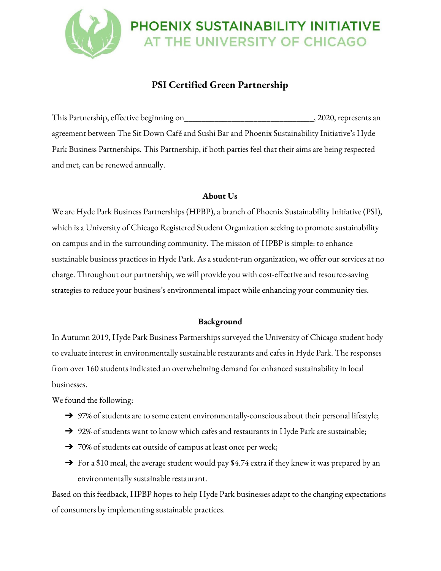# PHOENIX SUSTAINABILITY INITIATIVE AT THE UNIVERSITY OF CHICAGO

## **PSI Certified Green Partnership**

This Partnership, effective beginning on\_\_\_\_\_\_\_\_\_\_\_\_\_\_\_\_\_\_\_\_\_\_\_\_\_\_\_\_\_\_, 2020, represents an agreement between The Sit Down Café and Sushi Bar and Phoenix Sustainability Initiative's Hyde Park Business Partnerships. This Partnership, if both parties feel that their aims are being respected and met, can be renewed annually.

#### **About Us**

We are Hyde Park Business Partnerships (HPBP), a branch of Phoenix Sustainability Initiative (PSI), which is a University of Chicago Registered Student Organization seeking to promote sustainability on campus and in the surrounding community. The mission of HPBP is simple: to enhance sustainable business practices in Hyde Park. As a student-run organization, we offer our services at no charge. Throughout our partnership, we will provide you with cost-effective and resource-saving strategies to reduce your business's environmental impact while enhancing your community ties.

#### **Background**

In Autumn 2019, Hyde Park Business Partnerships surveyed the University of Chicago student body to evaluate interest in environmentally sustainable restaurants and cafes in Hyde Park. The responses from over 160 students indicated an overwhelming demand for enhanced sustainability in local businesses.

We found the following:

- → 97% of students are to some extent environmentally-conscious about their personal lifestyle;
- ➔ 92% of students want to know which cafes and restaurants in Hyde Park are sustainable;
- ➔ 70% of students eat outside of campus at least once per week;
- $\rightarrow$  For a \$10 meal, the average student would pay \$4.74 extra if they knew it was prepared by an environmentally sustainable restaurant.

Based on this feedback, HPBP hopes to help Hyde Park businesses adapt to the changing expectations of consumers by implementing sustainable practices.